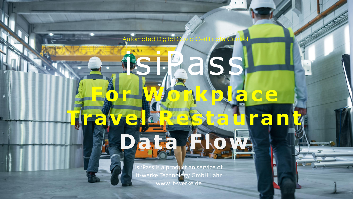Automated Digital Co e auran 

rol

isi:Pass is a product an service of it-werke Technology GmbH Lahr www.it-werke.de

**Falv**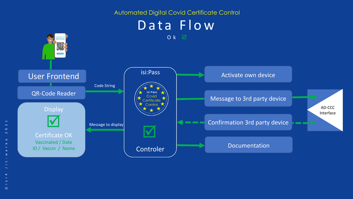

 $\odot$ 

 $\overline{\mathbf{N}}$  $\circ$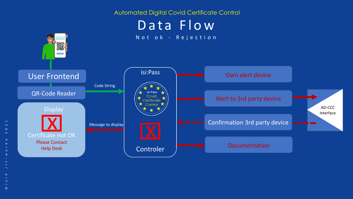

 $\rightarrow$ 

 $\sim$